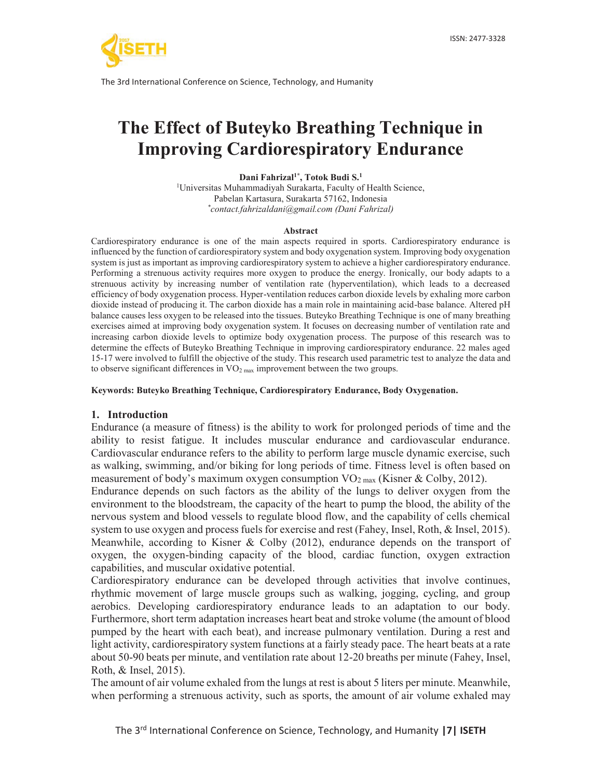

# **The Effect of Buteyko Breathing Technique in Improving Cardiorespiratory Endurance**

**Dani Fahrizal1\*, Totok Budi S.1**

1 Universitas Muhammadiyah Surakarta, Faculty of Health Science, Pabelan Kartasura, Surakarta 57162, Indonesia *\* contact.fahrizaldani@gmail.com (Dani Fahrizal)*

#### **Abstract**

Cardiorespiratory endurance is one of the main aspects required in sports. Cardiorespiratory endurance is influenced by the function of cardiorespiratory system and body oxygenation system. Improving body oxygenation system is just as important as improving cardiorespiratory system to achieve a higher cardiorespiratory endurance. Performing a strenuous activity requires more oxygen to produce the energy. Ironically, our body adapts to a strenuous activity by increasing number of ventilation rate (hyperventilation), which leads to a decreased efficiency of body oxygenation process. Hyper-ventilation reduces carbon dioxide levels by exhaling more carbon dioxide instead of producing it. The carbon dioxide has a main role in maintaining acid-base balance. Altered pH balance causes less oxygen to be released into the tissues. Buteyko Breathing Technique is one of many breathing exercises aimed at improving body oxygenation system. It focuses on decreasing number of ventilation rate and increasing carbon dioxide levels to optimize body oxygenation process. The purpose of this research was to determine the effects of Buteyko Breathing Technique in improving cardiorespiratory endurance. 22 males aged 15-17 were involved to fulfill the objective of the study. This research used parametric test to analyze the data and to observe significant differences in  $VO<sub>2 max</sub>$  improvement between the two groups.

**Keywords: Buteyko Breathing Technique, Cardiorespiratory Endurance, Body Oxygenation.** 

# **1. Introduction**

Endurance (a measure of fitness) is the ability to work for prolonged periods of time and the ability to resist fatigue. It includes muscular endurance and cardiovascular endurance. Cardiovascular endurance refers to the ability to perform large muscle dynamic exercise, such as walking, swimming, and/or biking for long periods of time. Fitness level is often based on measurement of body's maximum oxygen consumption VO<sub>2 max</sub> (Kisner & Colby, 2012).

Endurance depends on such factors as the ability of the lungs to deliver oxygen from the environment to the bloodstream, the capacity of the heart to pump the blood, the ability of the nervous system and blood vessels to regulate blood flow, and the capability of cells chemical system to use oxygen and process fuels for exercise and rest (Fahey, Insel, Roth, & Insel, 2015). Meanwhile, according to Kisner & Colby (2012), endurance depends on the transport of oxygen, the oxygen-binding capacity of the blood, cardiac function, oxygen extraction capabilities, and muscular oxidative potential.

Cardiorespiratory endurance can be developed through activities that involve continues, rhythmic movement of large muscle groups such as walking, jogging, cycling, and group aerobics. Developing cardiorespiratory endurance leads to an adaptation to our body. Furthermore, short term adaptation increases heart beat and stroke volume (the amount of blood pumped by the heart with each beat), and increase pulmonary ventilation. During a rest and light activity, cardiorespiratory system functions at a fairly steady pace. The heart beats at a rate about 50-90 beats per minute, and ventilation rate about 12-20 breaths per minute (Fahey, Insel, Roth, & Insel, 2015).

The amount of air volume exhaled from the lungs at rest is about 5 liters per minute. Meanwhile, when performing a strenuous activity, such as sports, the amount of air volume exhaled may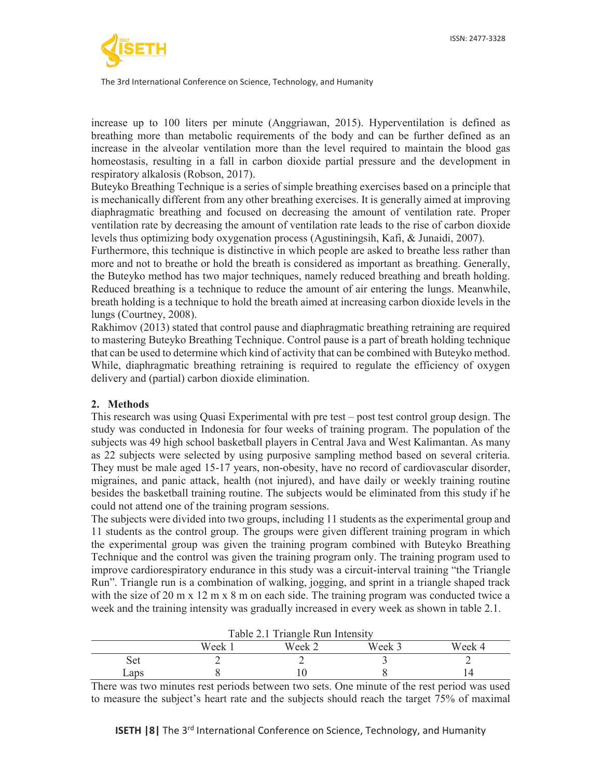

increase up to 100 liters per minute (Anggriawan, 2015). Hyperventilation is defined as breathing more than metabolic requirements of the body and can be further defined as an increase in the alveolar ventilation more than the level required to maintain the blood gas homeostasis, resulting in a fall in carbon dioxide partial pressure and the development in respiratory alkalosis (Robson, 2017).

Buteyko Breathing Technique is a series of simple breathing exercises based on a principle that is mechanically different from any other breathing exercises. It is generally aimed at improving diaphragmatic breathing and focused on decreasing the amount of ventilation rate. Proper ventilation rate by decreasing the amount of ventilation rate leads to the rise of carbon dioxide levels thus optimizing body oxygenation process (Agustiningsih, Kafi, & Junaidi, 2007).

Furthermore, this technique is distinctive in which people are asked to breathe less rather than more and not to breathe or hold the breath is considered as important as breathing. Generally, the Buteyko method has two major techniques, namely reduced breathing and breath holding. Reduced breathing is a technique to reduce the amount of air entering the lungs. Meanwhile, breath holding is a technique to hold the breath aimed at increasing carbon dioxide levels in the lungs (Courtney, 2008).

Rakhimov (2013) stated that control pause and diaphragmatic breathing retraining are required to mastering Buteyko Breathing Technique. Control pause is a part of breath holding technique that can be used to determine which kind of activity that can be combined with Buteyko method. While, diaphragmatic breathing retraining is required to regulate the efficiency of oxygen delivery and (partial) carbon dioxide elimination.

# **2. Methods**

This research was using Quasi Experimental with pre test – post test control group design. The study was conducted in Indonesia for four weeks of training program. The population of the subjects was 49 high school basketball players in Central Java and West Kalimantan. As many as 22 subjects were selected by using purposive sampling method based on several criteria. They must be male aged 15-17 years, non-obesity, have no record of cardiovascular disorder, migraines, and panic attack, health (not injured), and have daily or weekly training routine besides the basketball training routine. The subjects would be eliminated from this study if he could not attend one of the training program sessions.

The subjects were divided into two groups, including 11 students as the experimental group and 11 students as the control group. The groups were given different training program in which the experimental group was given the training program combined with Buteyko Breathing Technique and the control was given the training program only. The training program used to improve cardiorespiratory endurance in this study was a circuit-interval training "the Triangle Run". Triangle run is a combination of walking, jogging, and sprint in a triangle shaped track with the size of 20 m x 12 m x 8 m on each side. The training program was conducted twice a week and the training intensity was gradually increased in every week as shown in table 2.1.

| Table 2.1 Triangle Run Intensity     |  |  |  |  |  |
|--------------------------------------|--|--|--|--|--|
| Week 3<br>Week 2<br>Week 4<br>Week 1 |  |  |  |  |  |
| Set                                  |  |  |  |  |  |
| Laps                                 |  |  |  |  |  |

There was two minutes rest periods between two sets. One minute of the rest period was used to measure the subject's heart rate and the subjects should reach the target 75% of maximal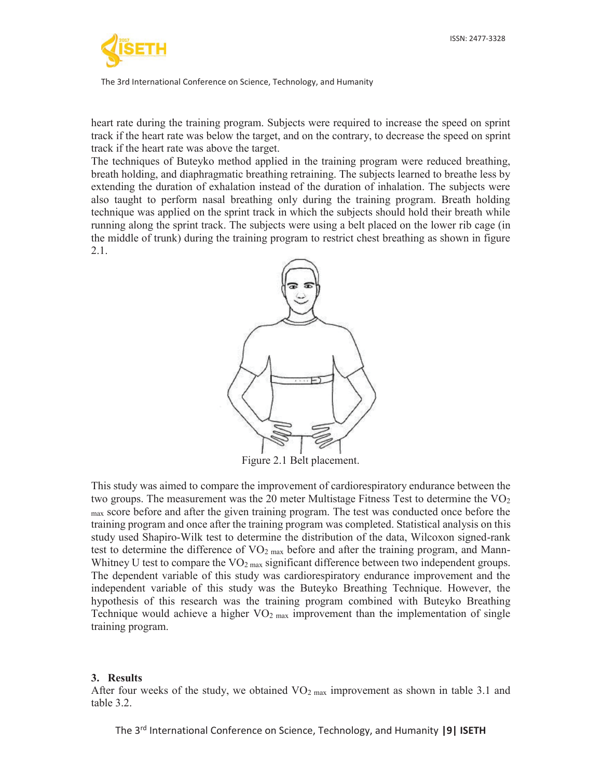

heart rate during the training program. Subjects were required to increase the speed on sprint track if the heart rate was below the target, and on the contrary, to decrease the speed on sprint track if the heart rate was above the target.

The techniques of Buteyko method applied in the training program were reduced breathing, breath holding, and diaphragmatic breathing retraining. The subjects learned to breathe less by extending the duration of exhalation instead of the duration of inhalation. The subjects were also taught to perform nasal breathing only during the training program. Breath holding technique was applied on the sprint track in which the subjects should hold their breath while running along the sprint track. The subjects were using a belt placed on the lower rib cage (in the middle of trunk) during the training program to restrict chest breathing as shown in figure 2.1.



Figure 2.1 Belt placement.

This study was aimed to compare the improvement of cardiorespiratory endurance between the two groups. The measurement was the 20 meter Multistage Fitness Test to determine the  $\rm VO_2$ max score before and after the given training program. The test was conducted once before the training program and once after the training program was completed. Statistical analysis on this study used Shapiro-Wilk test to determine the distribution of the data, Wilcoxon signed-rank test to determine the difference of VO<sub>2 max</sub> before and after the training program, and Mann-Whitney U test to compare the  $VO<sub>2 max</sub>$  significant difference between two independent groups. The dependent variable of this study was cardiorespiratory endurance improvement and the independent variable of this study was the Buteyko Breathing Technique. However, the hypothesis of this research was the training program combined with Buteyko Breathing Technique would achieve a higher  $VO<sub>2 max</sub>$  improvement than the implementation of single training program.

#### **3. Results**

After four weeks of the study, we obtained  $VO<sub>2 max</sub>$  improvement as shown in table 3.1 and table 3.2.

The 3rd International Conference on Science, Technology, and Humanity **|9| ISETH**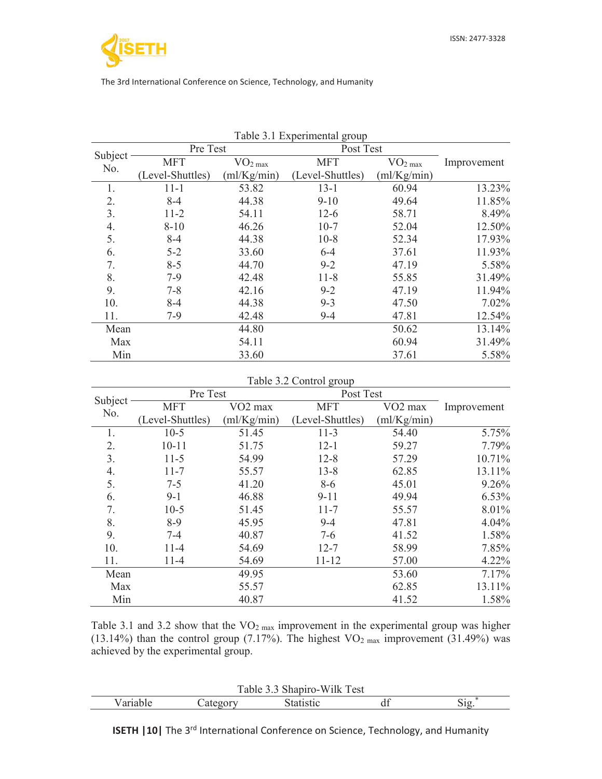|         |                  |                     | rable 5.1 Experimental group |                     |             |
|---------|------------------|---------------------|------------------------------|---------------------|-------------|
| Subject | Pre Test         |                     | Post Test                    |                     |             |
| No.     | <b>MFT</b>       | VO <sub>2 max</sub> | <b>MFT</b>                   | VO <sub>2 max</sub> | Improvement |
|         | (Level-Shuttles) | (m1/Kg/min)         | (Level-Shuttles)             | (ml/Kg/min)         |             |
| 1.      | $11 - 1$         | 53.82               | $13 - 1$                     | 60.94               | 13.23%      |
| 2.      | $8 - 4$          | 44.38               | $9-10$                       | 49.64               | 11.85%      |
| 3.      | $11 - 2$         | 54.11               | $12-6$                       | 58.71               | 8.49%       |
| 4.      | $8 - 10$         | 46.26               | $10-7$                       | 52.04               | 12.50%      |
| 5.      | $8 - 4$          | 44.38               | $10-8$                       | 52.34               | 17.93%      |
| 6.      | $5 - 2$          | 33.60               | $6 - 4$                      | 37.61               | 11.93%      |
| 7.      | $8 - 5$          | 44.70               | $9 - 2$                      | 47.19               | 5.58%       |
| 8.      | $7-9$            | 42.48               | $11 - 8$                     | 55.85               | 31.49%      |
| 9.      | $7 - 8$          | 42.16               | $9 - 2$                      | 47.19               | 11.94%      |
| 10.     | $8 - 4$          | 44.38               | $9 - 3$                      | 47.50               | $7.02\%$    |
| 11.     | $7-9$            | 42.48               | $9 - 4$                      | 47.81               | 12.54%      |
| Mean    |                  | 44.80               |                              | 50.62               | 13.14%      |
| Max     |                  | 54.11               |                              | 60.94               | 31.49%      |
| Min     |                  | 33.60               |                              | 37.61               | 5.58%       |

Table 3.1 Experimental group

# Table 3.2 Control group

|                | Pre Test         |                     | Post Test        |                     |             |
|----------------|------------------|---------------------|------------------|---------------------|-------------|
| Subject<br>No. | <b>MFT</b>       | VO <sub>2</sub> max | <b>MFT</b>       | VO <sub>2</sub> max | Improvement |
|                | (Level-Shuttles) | (m1/Kg/min)         | (Level-Shuttles) | (ml/Kg/min)         |             |
| 1.             | $10-5$           | 51.45               | $11-3$           | 54.40               | 5.75%       |
| 2.             | $10 - 11$        | 51.75               | $12 - 1$         | 59.27               | 7.79%       |
| 3.             | $11-5$           | 54.99               | $12 - 8$         | 57.29               | 10.71%      |
| 4.             | $11 - 7$         | 55.57               | $13 - 8$         | 62.85               | 13.11%      |
| 5.             | $7 - 5$          | 41.20               | $8-6$            | 45.01               | 9.26%       |
| 6.             | $9-1$            | 46.88               | $9 - 11$         | 49.94               | $6.53\%$    |
| 7.             | $10-5$           | 51.45               | $11 - 7$         | 55.57               | 8.01%       |
| 8.             | $8-9$            | 45.95               | $9 - 4$          | 47.81               | 4.04%       |
| 9.             | $7 - 4$          | 40.87               | $7-6$            | 41.52               | 1.58%       |
| 10.            | $11-4$           | 54.69               | $12 - 7$         | 58.99               | 7.85%       |
| 11.            | $11-4$           | 54.69               | $11 - 12$        | 57.00               | 4.22%       |
| Mean           |                  | 49.95               |                  | 53.60               | 7.17%       |
| Max            |                  | 55.57               |                  | 62.85               | 13.11%      |
| Min            |                  | 40.87               |                  | 41.52               | 1.58%       |

Table 3.1 and 3.2 show that the  $VO<sub>2 max</sub>$  improvement in the experimental group was higher (13.14%) than the control group (7.17%). The highest  $VO<sub>2 max</sub>$  improvement (31.49%) was achieved by the experimental group.

| $\mathbf{r}$<br>`est<br>.<br>11K<br>$\sim$ $\sim$<br>$\mathbf{M}$<br>rabie<br>. |           |  |    |  |  |
|---------------------------------------------------------------------------------|-----------|--|----|--|--|
|                                                                                 | $\ddotsc$ |  | uг |  |  |

**ISETH |10|** The 3<sup>rd</sup> International Conference on Science, Technology, and Humanity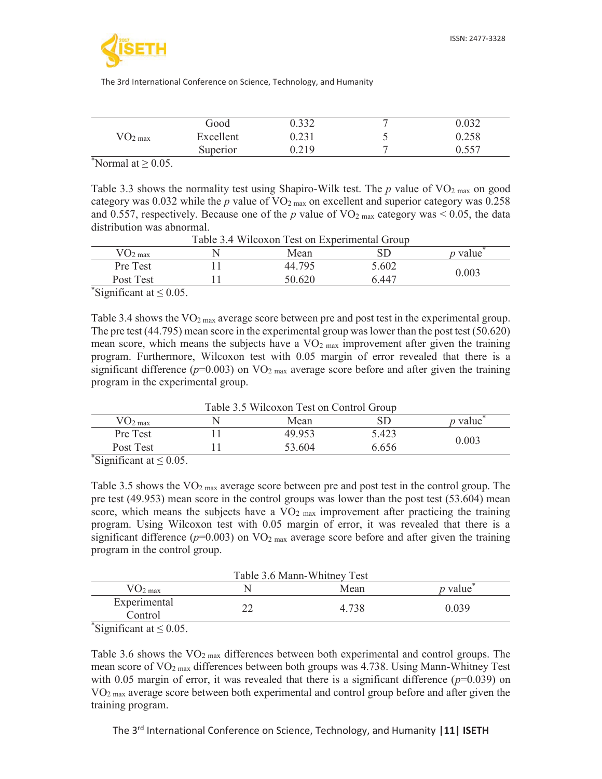

|                       | Good      | 0.332 | − | 0.032 |
|-----------------------|-----------|-------|---|-------|
| $\rm{VO_{2~max}}$     | Excellent | 0.231 | ت | 0.258 |
|                       | Superior  | 0.219 | ᠆ | 0.557 |
| $N$ ormal at $> 0.05$ |           |       |   |       |

\*Normal at  $\geq$  0.05.

Table 3.3 shows the normality test using Shapiro-Wilk test. The  $p$  value of  $\rm VO_{2 \, max}$  on good category was  $0.032$  while the *p* value of  $VO<sub>2 max</sub>$  on excellent and superior category was  $0.258$ and 0.557, respectively. Because one of the *p* value of  $VO<sub>2 max</sub>$  category was < 0.05, the data distribution was abnormal.

| Taoic J. T WHOOAOH TOSE ON EADONINGHIAI OPOUD |  |        |       |                |  |
|-----------------------------------------------|--|--------|-------|----------------|--|
| $VO_{2 \max}$                                 |  | Mean   |       | <i>v</i> value |  |
| Pre Test                                      |  | 44.795 | 5.602 |                |  |
| Post Test                                     |  | 50.620 | 6.447 | 0.003          |  |
| $^*$ Significant at $< 0.05$                  |  |        |       |                |  |

Table 3.4 Wilcoxon Test on Experimental Group

Significant at  $\leq 0.05$ .

Table 3.4 shows the  $VO<sub>2 max</sub>$  average score between pre and post test in the experimental group. The pre test (44.795) mean score in the experimental group was lower than the post test (50.620) mean score, which means the subjects have a  $VO<sub>2 max</sub>$  improvement after given the training program. Furthermore, Wilcoxon test with 0.05 margin of error revealed that there is a significant difference  $(p=0.003)$  on VO<sub>2 max</sub> average score before and after given the training program in the experimental group.

Table 3.5 Wilcoxon Test on Control Group

| $U_2$ <sub>max</sub>                | Mean   |       | $\n  v$ value |
|-------------------------------------|--------|-------|---------------|
| Pre Test                            | 49.953 | 5.423 | 0.003         |
| Post Test                           | 53.604 | 6.656 |               |
| $\frac{1}{2}$ Significant at < 0.05 |        |       |               |

Significant at  $\leq 0.05$ .

Table 3.5 shows the  $VO<sub>2 max</sub>$  average score between pre and post test in the control group. The pre test (49.953) mean score in the control groups was lower than the post test (53.604) mean score, which means the subjects have a  $VO<sub>2</sub>$  max improvement after practicing the training program. Using Wilcoxon test with 0.05 margin of error, it was revealed that there is a significant difference  $(p=0.003)$  on VO<sub>2 max</sub> average score before and after given the training program in the control group.

| Table 3.6 Mann-Whitney Test                |  |       |                |  |
|--------------------------------------------|--|-------|----------------|--|
| $\rm{VO_{2\,max}}$                         |  | Mean  | <i>p</i> value |  |
| Experimental<br>Control                    |  | 4.738 | 0.039          |  |
| $\sqrt[3]{\text{Ciam}}$ from $\text{Cov}}$ |  |       |                |  |

Significant at  $\leq 0.05$ .

Table 3.6 shows the  $VO<sub>2 max</sub>$  differences between both experimental and control groups. The mean score of  $\rm VO_{2\,max}$  differences between both groups was 4.738. Using Mann-Whitney Test with 0.05 margin of error, it was revealed that there is a significant difference  $(p=0.039)$  on VO2 max average score between both experimental and control group before and after given the training program.

The 3rd International Conference on Science, Technology, and Humanity **|11| ISETH**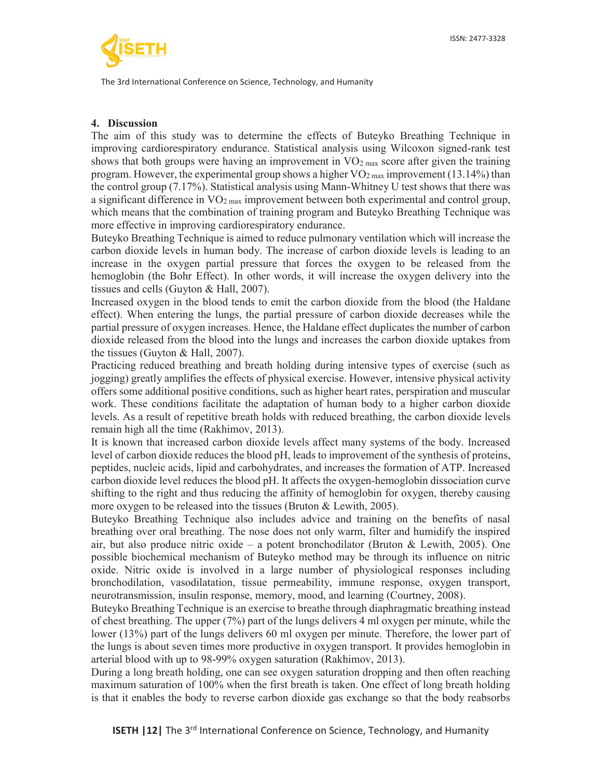

## **4. Discussion**

The aim of this study was to determine the effects of Buteyko Breathing Technique in improving cardiorespiratory endurance. Statistical analysis using Wilcoxon signed-rank test shows that both groups were having an improvement in  $VO<sub>2 max</sub>$  score after given the training program. However, the experimental group shows a higher  $VO<sub>2 max</sub>$  improvement (13.14%) than the control group (7.17%). Statistical analysis using Mann-Whitney U test shows that there was a significant difference in VO<sub>2 max</sub> improvement between both experimental and control group, which means that the combination of training program and Buteyko Breathing Technique was more effective in improving cardiorespiratory endurance.

Buteyko Breathing Technique is aimed to reduce pulmonary ventilation which will increase the carbon dioxide levels in human body. The increase of carbon dioxide levels is leading to an increase in the oxygen partial pressure that forces the oxygen to be released from the hemoglobin (the Bohr Effect). In other words, it will increase the oxygen delivery into the tissues and cells (Guyton & Hall, 2007).

Increased oxygen in the blood tends to emit the carbon dioxide from the blood (the Haldane effect). When entering the lungs, the partial pressure of carbon dioxide decreases while the partial pressure of oxygen increases. Hence, the Haldane effect duplicates the number of carbon dioxide released from the blood into the lungs and increases the carbon dioxide uptakes from the tissues (Guyton & Hall, 2007).

Practicing reduced breathing and breath holding during intensive types of exercise (such as jogging) greatly amplifies the effects of physical exercise. However, intensive physical activity offers some additional positive conditions, such as higher heart rates, perspiration and muscular work. These conditions facilitate the adaptation of human body to a higher carbon dioxide levels. As a result of repetitive breath holds with reduced breathing, the carbon dioxide levels remain high all the time (Rakhimov, 2013).

It is known that increased carbon dioxide levels affect many systems of the body. Increased level of carbon dioxide reduces the blood pH, leads to improvement of the synthesis of proteins, peptides, nucleic acids, lipid and carbohydrates, and increases the formation of ATP. Increased carbon dioxide level reduces the blood pH. It affects the oxygen-hemoglobin dissociation curve shifting to the right and thus reducing the affinity of hemoglobin for oxygen, thereby causing more oxygen to be released into the tissues (Bruton & Lewith, 2005).

Buteyko Breathing Technique also includes advice and training on the benefits of nasal breathing over oral breathing. The nose does not only warm, filter and humidify the inspired air, but also produce nitric oxide – a potent bronchodilator (Bruton & Lewith, 2005). One possible biochemical mechanism of Buteyko method may be through its influence on nitric oxide. Nitric oxide is involved in a large number of physiological responses including bronchodilation, vasodilatation, tissue permeability, immune response, oxygen transport, neurotransmission, insulin response, memory, mood, and learning (Courtney, 2008).

Buteyko Breathing Technique is an exercise to breathe through diaphragmatic breathing instead of chest breathing. The upper (7%) part of the lungs delivers 4 ml oxygen per minute, while the lower (13%) part of the lungs delivers 60 ml oxygen per minute. Therefore, the lower part of the lungs is about seven times more productive in oxygen transport. It provides hemoglobin in arterial blood with up to 98-99% oxygen saturation (Rakhimov, 2013).

During a long breath holding, one can see oxygen saturation dropping and then often reaching maximum saturation of 100% when the first breath is taken. One effect of long breath holding is that it enables the body to reverse carbon dioxide gas exchange so that the body reabsorbs